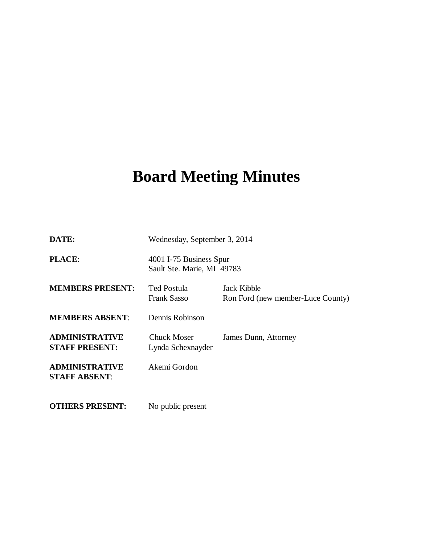# **Board Meeting Minutes**

| DATE:                                          | Wednesday, September 3, 2014                          |                                                  |
|------------------------------------------------|-------------------------------------------------------|--------------------------------------------------|
| <b>PLACE:</b>                                  | 4001 I-75 Business Spur<br>Sault Ste. Marie, MI 49783 |                                                  |
| <b>MEMBERS PRESENT:</b>                        | <b>Ted Postula</b><br><b>Frank Sasso</b>              | Jack Kibble<br>Ron Ford (new member-Luce County) |
| <b>MEMBERS ABSENT:</b>                         | Dennis Robinson                                       |                                                  |
| <b>ADMINISTRATIVE</b><br><b>STAFF PRESENT:</b> | Chuck Moser<br>Lynda Schexnayder                      | James Dunn, Attorney                             |
| <b>ADMINISTRATIVE</b><br><b>STAFF ABSENT:</b>  | Akemi Gordon                                          |                                                  |
| <b>OTHERS PRESENT:</b>                         | No public present                                     |                                                  |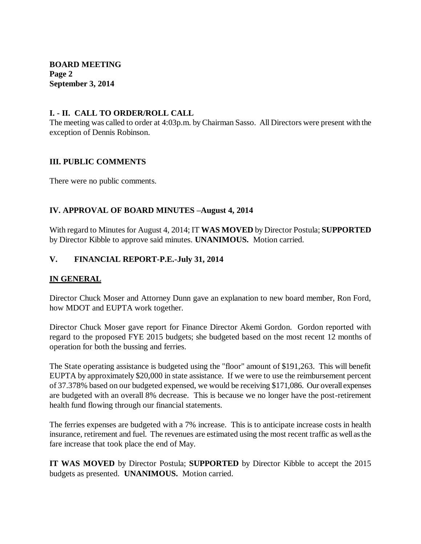**BOARD MEETING Page 2 September 3, 2014**

#### **I. - II. CALL TO ORDER/ROLL CALL**

The meeting was called to order at 4:03p.m. by Chairman Sasso. All Directors were present with the exception of Dennis Robinson.

#### **III. PUBLIC COMMENTS**

There were no public comments.

## **IV. APPROVAL OF BOARD MINUTES –August 4, 2014**

With regard to Minutes for August 4, 2014; IT **WAS MOVED** by Director Postula; **SUPPORTED**  by Director Kibble to approve said minutes. **UNANIMOUS.** Motion carried.

## **V. FINANCIAL REPORT-P.E.-July 31, 2014**

## **IN GENERAL**

Director Chuck Moser and Attorney Dunn gave an explanation to new board member, Ron Ford, how MDOT and EUPTA work together.

Director Chuck Moser gave report for Finance Director Akemi Gordon. Gordon reported with regard to the proposed FYE 2015 budgets; she budgeted based on the most recent 12 months of operation for both the bussing and ferries.

The State operating assistance is budgeted using the "floor" amount of \$191,263. This will benefit EUPTA by approximately \$20,000 in state assistance. If we were to use the reimbursement percent of 37.378% based on our budgeted expensed, we would be receiving \$171,086. Our overall expenses are budgeted with an overall 8% decrease. This is because we no longer have the post-retirement health fund flowing through our financial statements.

The ferries expenses are budgeted with a 7% increase. This is to anticipate increase costs in health insurance, retirement and fuel. The revenues are estimated using the most recent traffic as well as the fare increase that took place the end of May.

**IT WAS MOVED** by Director Postula; **SUPPORTED** by Director Kibble to accept the 2015 budgets as presented. **UNANIMOUS.** Motion carried.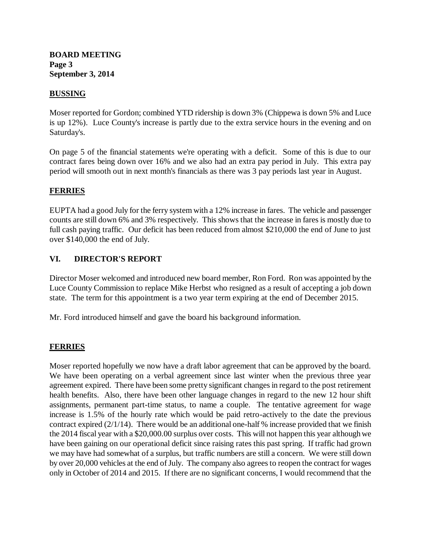#### **BOARD MEETING Page 3 September 3, 2014**

## **BUSSING**

Moser reported for Gordon; combined YTD ridership is down 3% (Chippewa is down 5% and Luce is up 12%). Luce County's increase is partly due to the extra service hours in the evening and on Saturday's.

On page 5 of the financial statements we're operating with a deficit. Some of this is due to our contract fares being down over 16% and we also had an extra pay period in July. This extra pay period will smooth out in next month's financials as there was 3 pay periods last year in August.

#### **FERRIES**

EUPTA had a good July for the ferry system with a 12% increase in fares. The vehicle and passenger counts are still down 6% and 3% respectively. This shows that the increase in fares is mostly due to full cash paying traffic. Our deficit has been reduced from almost \$210,000 the end of June to just over \$140,000 the end of July.

## **VI. DIRECTOR'S REPORT**

Director Moser welcomed and introduced new board member, Ron Ford. Ron was appointed by the Luce County Commission to replace Mike Herbst who resigned as a result of accepting a job down state. The term for this appointment is a two year term expiring at the end of December 2015.

Mr. Ford introduced himself and gave the board his background information.

## **FERRIES**

Moser reported hopefully we now have a draft labor agreement that can be approved by the board. We have been operating on a verbal agreement since last winter when the previous three year agreement expired. There have been some pretty significant changes in regard to the post retirement health benefits. Also, there have been other language changes in regard to the new 12 hour shift assignments, permanent part-time status, to name a couple. The tentative agreement for wage increase is 1.5% of the hourly rate which would be paid retro-actively to the date the previous contract expired (2/1/14). There would be an additional one-half % increase provided that we finish the 2014 fiscal year with a \$20,000.00 surplus over costs. This will not happen this year although we have been gaining on our operational deficit since raising rates this past spring. If traffic had grown we may have had somewhat of a surplus, but traffic numbers are still a concern. We were still down by over 20,000 vehicles at the end of July. The company also agrees to reopen the contract for wages only in October of 2014 and 2015. If there are no significant concerns, I would recommend that the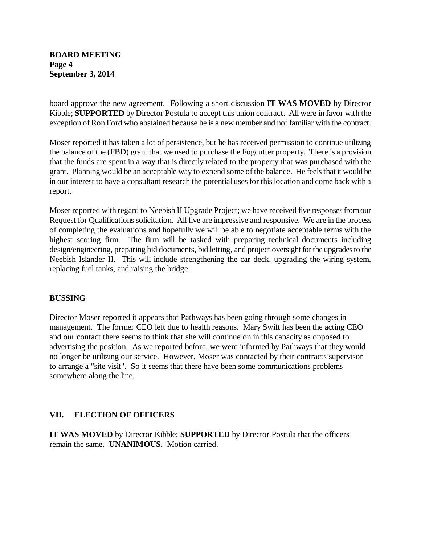## **BOARD MEETING Page 4 September 3, 2014**

board approve the new agreement. Following a short discussion **IT WAS MOVED** by Director Kibble; **SUPPORTED** by Director Postula to accept this union contract. All were in favor with the exception of Ron Ford who abstained because he is a new member and not familiar with the contract.

Moser reported it has taken a lot of persistence, but he has received permission to continue utilizing the balance of the (FBD) grant that we used to purchase the Fogcutter property. There is a provision that the funds are spent in a way that is directly related to the property that was purchased with the grant. Planning would be an acceptable way to expend some of the balance. He feels that it would be in our interest to have a consultant research the potential uses for this location and come back with a report.

Moser reported with regard to Neebish II Upgrade Project; we have received five responses from our Request for Qualifications solicitation. All five are impressive and responsive. We are in the process of completing the evaluations and hopefully we will be able to negotiate acceptable terms with the highest scoring firm. The firm will be tasked with preparing technical documents including design/engineering, preparing bid documents, bid letting, and project oversight for the upgrades to the Neebish Islander II. This will include strengthening the car deck, upgrading the wiring system, replacing fuel tanks, and raising the bridge.

## **BUSSING**

Director Moser reported it appears that Pathways has been going through some changes in management. The former CEO left due to health reasons. Mary Swift has been the acting CEO and our contact there seems to think that she will continue on in this capacity as opposed to advertising the position. As we reported before, we were informed by Pathways that they would no longer be utilizing our service. However, Moser was contacted by their contracts supervisor to arrange a "site visit". So it seems that there have been some communications problems somewhere along the line.

## **VII. ELECTION OF OFFICERS**

**IT WAS MOVED** by Director Kibble; **SUPPORTED** by Director Postula that the officers remain the same. **UNANIMOUS.** Motion carried.